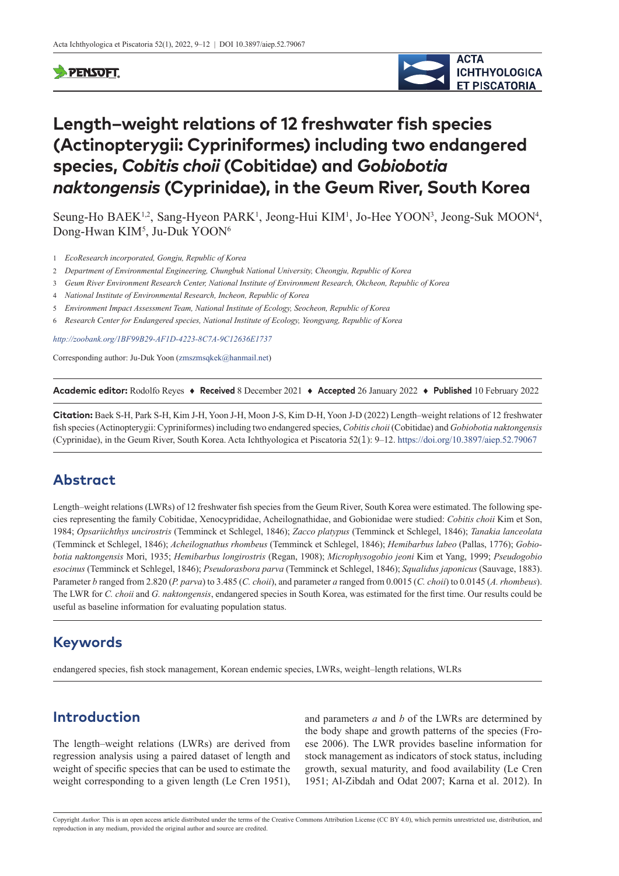#### **SPENSOFT**



# **Length–weight relations of 12 freshwater fish species (Actinopterygii: Cypriniformes) including two endangered species,** *Cobitis choii* **(Cobitidae) and** *Gobiobotia naktongensis* **(Cyprinidae), in the Geum River, South Korea**

Seung-Ho BAEK<sup>1,2</sup>, Sang-Hyeon PARK<sup>1</sup>, Jeong-Hui KIM<sup>1</sup>, Jo-Hee YOON<sup>3</sup>, Jeong-Suk MOON<sup>4</sup>, Dong-Hwan KIM<sup>5</sup>, Ju-Duk YOON<sup>6</sup>

- 1 *EcoResearch incorporated, Gongju, Republic of Korea*
- 2 *Department of Environmental Engineering, Chungbuk National University, Cheongju, Republic of Korea*
- 3 *Geum River Environment Research Center, National Institute of Environment Research, Okcheon, Republic of Korea*
- 4 *National Institute of Environmental Research, Incheon, Republic of Korea*
- 5 *Environment Impact Assessment Team, National Institute of Ecology, Seocheon, Republic of Korea*
- 6 *Research Center for Endangered species, National Institute of Ecology, Yeongyang, Republic of Korea*

*<http://zoobank.org/1BF99B29-AF1D-4223-8C7A-9C12636E1737>*

Corresponding author: Ju-Duk Yoon [\(zmszmsqkek@hanmail.net](mailto:zmszmsqkek@hanmail.net))

**Academic editor:** Rodolfo Reyes ♦ **Received** 8 December 2021 ♦ **Accepted** 26 January 2022 ♦ **Published** 10 February 2022

**Citation:** Baek S-H, Park S-H, Kim J-H, Yoon J-H, Moon J-S, Kim D-H, Yoon J-D (2022) Length–weight relations of 12 freshwater fish species (Actinopterygii: Cypriniformes) including two endangered species, *Cobitis choii* (Cobitidae) and *Gobiobotia naktongensis* (Cyprinidae), in the Geum River, South Korea. Acta Ichthyologica et Piscatoria 52(1): 9–12. <https://doi.org/10.3897/aiep.52.79067>

#### **Abstract**

Length–weight relations (LWRs) of 12 freshwater fish species from the Geum River, South Korea were estimated. The following species representing the family Cobitidae, Xenocyprididae, Acheilognathidae, and Gobionidae were studied: *Cobitis choii* Kim et Son, 1984; *Opsariichthys uncirostris* (Temminck et Schlegel, 1846); *Zacco platypus* (Temminck et Schlegel, 1846); *Tanakia lanceolata* (Temminck et Schlegel, 1846); *Acheilognathus rhombeus* (Temminck et Schlegel, 1846); *Hemibarbus labeo* (Pallas, 1776); *Gobiobotia naktongensis* Mori, 1935; *Hemibarbus longirostris* (Regan, 1908); *Microphysogobio jeoni* Kim et Yang, 1999; *Pseudogobio esocinus* (Temminck et Schlegel, 1846); *Pseudorasbora parva* (Temminck et Schlegel, 1846); *Squalidus japonicus* (Sauvage, 1883). Parameter *b* ranged from 2.820 (*P. parva*) to 3.485 (*C. choii*), and parameter *a* ranged from 0.0015 (*C. choii*) to 0.0145 (*A. rhombeus*). The LWR for *C. choii* and *G. naktongensis*, endangered species in South Korea, was estimated for the first time. Our results could be useful as baseline information for evaluating population status.

## **Keywords**

endangered species, fish stock management, Korean endemic species, LWRs, weight–length relations, WLRs

# **Introduction**

The length–weight relations (LWRs) are derived from regression analysis using a paired dataset of length and weight of specific species that can be used to estimate the weight corresponding to a given length (Le Cren 1951),

and parameters *a* and *b* of the LWRs are determined by the body shape and growth patterns of the species (Froese 2006). The LWR provides baseline information for stock management as indicators of stock status, including growth, sexual maturity, and food availability (Le Cren 1951; Al-Zibdah and Odat 2007; Karna et al. 2012). In

Copyright *Author.* This is an open access article distributed under the terms of the [Creative Commons Attribution License \(CC BY 4.0\),](http://creativecommons.org/licenses/by/4.0/) which permits unrestricted use, distribution, and reproduction in any medium, provided the original author and source are credited.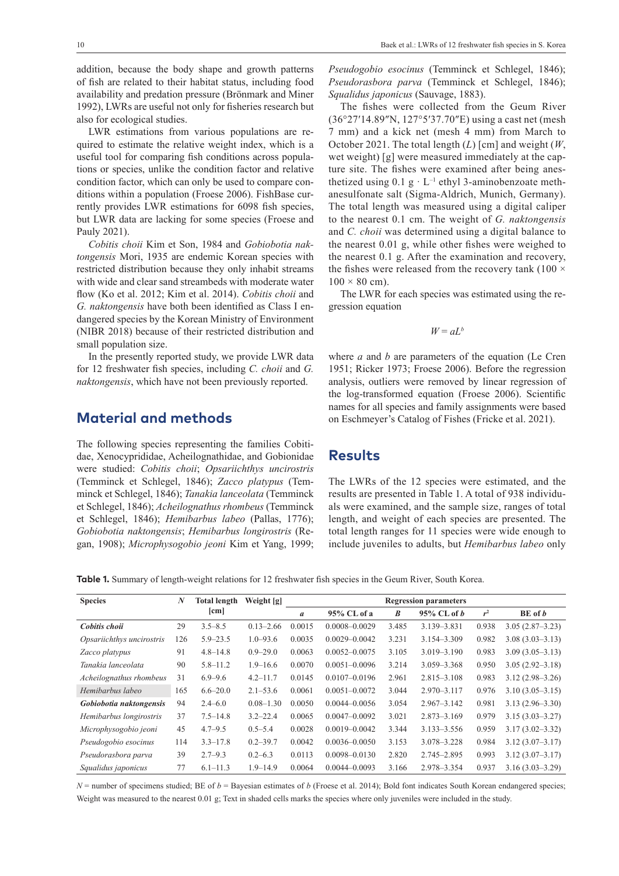addition, because the body shape and growth patterns of fish are related to their habitat status, including food availability and predation pressure (Brönmark and Miner 1992), LWRs are useful not only for fisheries research but also for ecological studies.

LWR estimations from various populations are required to estimate the relative weight index, which is a useful tool for comparing fish conditions across populations or species, unlike the condition factor and relative condition factor, which can only be used to compare conditions within a population (Froese 2006). FishBase currently provides LWR estimations for 6098 fish species, but LWR data are lacking for some species (Froese and Pauly 2021).

*Cobitis choii* Kim et Son, 1984 and *Gobiobotia naktongensis* Mori, 1935 are endemic Korean species with restricted distribution because they only inhabit streams with wide and clear sand streambeds with moderate water flow (Ko et al. 2012; Kim et al. 2014). *Cobitis choii* and *G. naktongensis* have both been identified as Class I endangered species by the Korean Ministry of Environment (NIBR 2018) because of their restricted distribution and small population size.

In the presently reported study, we provide LWR data for 12 freshwater fish species, including *C. choii* and *G. naktongensis*, which have not been previously reported.

# **Material and methods**

The following species representing the families Cobitidae, Xenocyprididae, Acheilognathidae, and Gobionidae were studied: *Cobitis choii*; *Opsariichthys uncirostris* (Temminck et Schlegel, 1846); *Zacco platypus* (Temminck et Schlegel, 1846); *Tanakia lanceolata* (Temminck et Schlegel, 1846); *Acheilognathus rhombeus* (Temminck et Schlegel, 1846); *Hemibarbus labeo* (Pallas, 1776); *Gobiobotia naktongensis*; *Hemibarbus longirostris* (Regan, 1908); *Microphysogobio jeoni* Kim et Yang, 1999;

*Pseudogobio esocinus* (Temminck et Schlegel, 1846); *Pseudorasbora parva* (Temminck et Schlegel, 1846); *Squalidus japonicus* (Sauvage, 1883).

The fishes were collected from the Geum River (36°27ʹ14.89″N, 127°5ʹ37.70″E) using a cast net (mesh 7 mm) and a kick net (mesh 4 mm) from March to October 2021. The total length (*L*) [cm] and weight (*W*, wet weight) [g] were measured immediately at the capture site. The fishes were examined after being anesthetized using  $0.1$  g  $\cdot$  L<sup>-1</sup> ethyl 3-aminobenzoate methanesulfonate salt (Sigma-Aldrich, Munich, Germany). The total length was measured using a digital caliper to the nearest 0.1 cm. The weight of *G. naktongensis* and *C. choii* was determined using a digital balance to the nearest 0.01 g, while other fishes were weighed to the nearest 0.1 g. After the examination and recovery, the fishes were released from the recovery tank (100  $\times$  $100 \times 80$  cm).

The LWR for each species was estimated using the regression equation

 $W = aL^b$ 

where *a* and *b* are parameters of the equation (Le Cren 1951; Ricker 1973; Froese 2006). Before the regression analysis, outliers were removed by linear regression of the log-transformed equation (Froese 2006). Scientific names for all species and family assignments were based on Eschmeyer's Catalog of Fishes (Fricke et al. 2021).

#### **Results**

The LWRs of the 12 species were estimated, and the results are presented in Table 1. A total of 938 individuals were examined, and the sample size, ranges of total length, and weight of each species are presented. The total length ranges for 11 species were wide enough to include juveniles to adults, but *Hemibarbus labeo* only

**Table 1.** Summary of length-weight relations for 12 freshwater fish species in the Geum River, South Korea.

| <b>Species</b>            | N   | <b>Total length</b> | Weight [g]    | <b>Regression parameters</b> |                   |                  |                 |       |                     |
|---------------------------|-----|---------------------|---------------|------------------------------|-------------------|------------------|-----------------|-------|---------------------|
|                           |     | $[\text{cm}]$       |               | $\boldsymbol{a}$             | 95% CL of a       | $\boldsymbol{B}$ | $95\%$ CL of b  | $r^2$ | BE of b             |
| Cobitis choii             | 29  | $3.5 - 8.5$         | $0.13 - 2.66$ | 0.0015                       | $0.0008 - 0.0029$ | 3.485            | 3.139 - 3.831   | 0.938 | $3.05(2.87-3.23)$   |
| Opsariichthys uncirostris | 126 | $5.9 - 23.5$        | $1.0 - 93.6$  | 0.0035                       | $0.0029 - 0.0042$ | 3.231            | 3.154 - 3.309   | 0.982 | $3.08(3.03 - 3.13)$ |
| Zacco platypus            | 91  | $4.8 - 14.8$        | $0.9 - 29.0$  | 0.0063                       | $0.0052 - 0.0075$ | 3.105            | $3.019 - 3.190$ | 0.983 | $3.09(3.05 - 3.13)$ |
| Tanakia lanceolata        | 90  | $5.8 - 11.2$        | $1.9 - 16.6$  | 0.0070                       | $0.0051 - 0.0096$ | 3.214            | 3.059-3.368     | 0.950 | $3.05(2.92 - 3.18)$ |
| Acheilognathus rhombeus   | 31  | $6.9 - 9.6$         | $4.2 - 11.7$  | 0.0145                       | $0.0107 - 0.0196$ | 2.961            | $2.815 - 3.108$ | 0.983 | $3.12(2.98 - 3.26)$ |
| Hemibarbus labeo          | 165 | $6.6 - 20.0$        | $2.1 - 53.6$  | 0.0061                       | $0.0051 - 0.0072$ | 3.044            | $2.970 - 3.117$ | 0.976 | $3.10(3.05 - 3.15)$ |
| Gobiobotia naktongensis   | 94  | $2.4 - 6.0$         | $0.08 - 1.30$ | 0.0050                       | $0.0044 - 0.0056$ | 3.054            | $2.967 - 3.142$ | 0.981 | $3.13(2.96 - 3.30)$ |
| Hemibarbus longirostris   | 37  | $7.5 - 14.8$        | $3.2 - 22.4$  | 0.0065                       | $0.0047 - 0.0092$ | 3.021            | $2.873 - 3.169$ | 0.979 | $3.15(3.03 - 3.27)$ |
| Microphysogobio jeoni     | 45  | $4.7 - 9.5$         | $0.5 - 5.4$   | 0.0028                       | $0.0019 - 0.0042$ | 3.344            | $3.133 - 3.556$ | 0.959 | $3.17(3.02 - 3.32)$ |
| Pseudogobio esocinus      | 114 | $3.3 - 17.8$        | $0.2 - 39.7$  | 0.0042                       | $0.0036 - 0.0050$ | 3.153            | $3.078 - 3.228$ | 0.984 | $3.12(3.07 - 3.17)$ |
| Pseudorasbora parva       | 39  | $2.7 - 9.3$         | $0.2 - 6.3$   | 0.0113                       | $0.0098 - 0.0130$ | 2.820            | 2.745-2.895     | 0.993 | $3.12(3.07 - 3.17)$ |
| Squalidus japonicus       | 77  | $6.1 - 11.3$        | $1.9 - 14.9$  | 0.0064                       | $0.0044 - 0.0093$ | 3.166            | 2.978-3.354     | 0.937 | $3.16(3.03 - 3.29)$ |

 $N =$  number of specimens studied; BE of  $b =$  Bayesian estimates of  $b$  (Froese et al. 2014); Bold font indicates South Korean endangered species; Weight was measured to the nearest 0.01 g; Text in shaded cells marks the species where only juveniles were included in the study.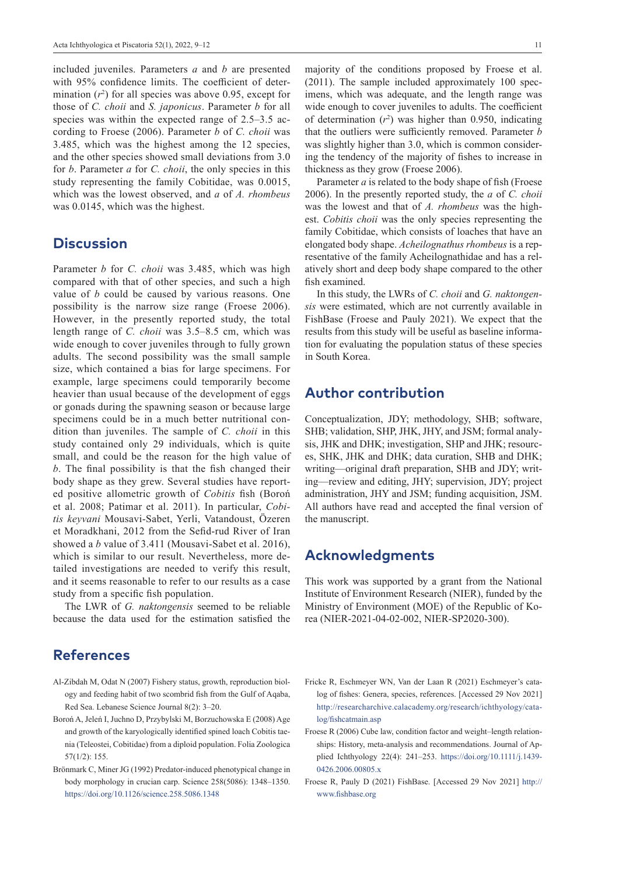included juveniles. Parameters *a* and *b* are presented with 95% confidence limits. The coefficient of determination  $(r^2)$  for all species was above 0.95, except for those of *C. choii* and *S. japonicus*. Parameter *b* for all species was within the expected range of 2.5–3.5 according to Froese (2006). Parameter *b* of *C. choii* was 3.485, which was the highest among the 12 species, and the other species showed small deviations from 3.0 for *b*. Parameter *a* for *C. choii*, the only species in this study representing the family Cobitidae, was 0.0015, which was the lowest observed, and *a* of *A. rhombeus* was 0.0145, which was the highest.

#### **Discussion**

Parameter *b* for *C. choii* was 3.485, which was high compared with that of other species, and such a high value of *b* could be caused by various reasons. One possibility is the narrow size range (Froese 2006). However, in the presently reported study, the total length range of *C. choii* was 3.5–8.5 cm, which was wide enough to cover juveniles through to fully grown adults. The second possibility was the small sample size, which contained a bias for large specimens. For example, large specimens could temporarily become heavier than usual because of the development of eggs or gonads during the spawning season or because large specimens could be in a much better nutritional condition than juveniles. The sample of *C. choii* in this study contained only 29 individuals, which is quite small, and could be the reason for the high value of *b*. The final possibility is that the fish changed their body shape as they grew. Several studies have reported positive allometric growth of *Cobitis* fish (Boroń et al. 2008; Patimar et al. 2011). In particular, *Cobitis keyvani* Mousavi-Sabet, Yerli, Vatandoust, Özeren et Moradkhani, 2012 from the Sefid-rud River of Iran showed a *b* value of 3.411 (Mousavi-Sabet et al. 2016), which is similar to our result. Nevertheless, more detailed investigations are needed to verify this result, and it seems reasonable to refer to our results as a case study from a specific fish population.

The LWR of *G. naktongensis* seemed to be reliable because the data used for the estimation satisfied the

# **References**

- Al-Zibdah M, Odat N (2007) Fishery status, growth, reproduction biology and feeding habit of two scombrid fish from the Gulf of Aqaba, Red Sea. Lebanese Science Journal 8(2): 3–20.
- Boroń A, Jeleń I, Juchno D, Przybylski M, Borzuchowska E (2008) Age and growth of the karyologically identified spined loach Cobitis taenia (Teleostei, Cobitidae) from a diploid population. Folia Zoologica 57(1/2): 155.
- Brönmark C, Miner JG (1992) Predator-induced phenotypical change in body morphology in crucian carp. Science 258(5086): 1348–1350. <https://doi.org/10.1126/science.258.5086.1348>

majority of the conditions proposed by Froese et al. (2011). The sample included approximately 100 specimens, which was adequate, and the length range was wide enough to cover juveniles to adults. The coefficient of determination  $(r^2)$  was higher than 0.950, indicating that the outliers were sufficiently removed. Parameter *b* was slightly higher than 3.0, which is common considering the tendency of the majority of fishes to increase in thickness as they grow (Froese 2006).

Parameter *a* is related to the body shape of fish (Froese 2006). In the presently reported study, the *a* of *C. choii* was the lowest and that of *A. rhombeus* was the highest. *Cobitis choii* was the only species representing the family Cobitidae, which consists of loaches that have an elongated body shape. *Acheilognathus rhombeus* is a representative of the family Acheilognathidae and has a relatively short and deep body shape compared to the other fish examined.

In this study, the LWRs of *C. choii* and *G. naktongensis* were estimated, which are not currently available in FishBase (Froese and Pauly 2021). We expect that the results from this study will be useful as baseline information for evaluating the population status of these species in South Korea.

# **Author contribution**

Conceptualization, JDY; methodology, SHB; software, SHB; validation, SHP, JHK, JHY, and JSM; formal analysis, JHK and DHK; investigation, SHP and JHK; resources, SHK, JHK and DHK; data curation, SHB and DHK; writing—original draft preparation, SHB and JDY; writing—review and editing, JHY; supervision, JDY; project administration, JHY and JSM; funding acquisition, JSM. All authors have read and accepted the final version of the manuscript.

# **Acknowledgments**

This work was supported by a grant from the National Institute of Environment Research (NIER), funded by the Ministry of Environment (MOE) of the Republic of Korea (NIER-2021-04-02-002, NIER-SP2020-300).

- Fricke R, Eschmeyer WN, Van der Laan R (2021) Eschmeyer's catalog of fishes: Genera, species, references. [Accessed 29 Nov 2021] [http://researcharchive.calacademy.org/research/ichthyology/cata](http://researcharchive.calacademy.org/research/ichthyology/catalog/fishcatmain.asp)[log/fishcatmain.asp](http://researcharchive.calacademy.org/research/ichthyology/catalog/fishcatmain.asp)
- Froese R (2006) Cube law, condition factor and weight–length relationships: History, meta-analysis and recommendations. Journal of Applied Ichthyology 22(4): 241–253. [https://doi.org/10.1111/j.1439-](https://doi.org/10.1111/j.1439-0426.2006.00805.x) [0426.2006.00805.x](https://doi.org/10.1111/j.1439-0426.2006.00805.x)
- Froese R, Pauly D (2021) FishBase. [Accessed 29 Nov 2021] [http://](http://www.fishbase.org) [www.fishbase.org](http://www.fishbase.org)